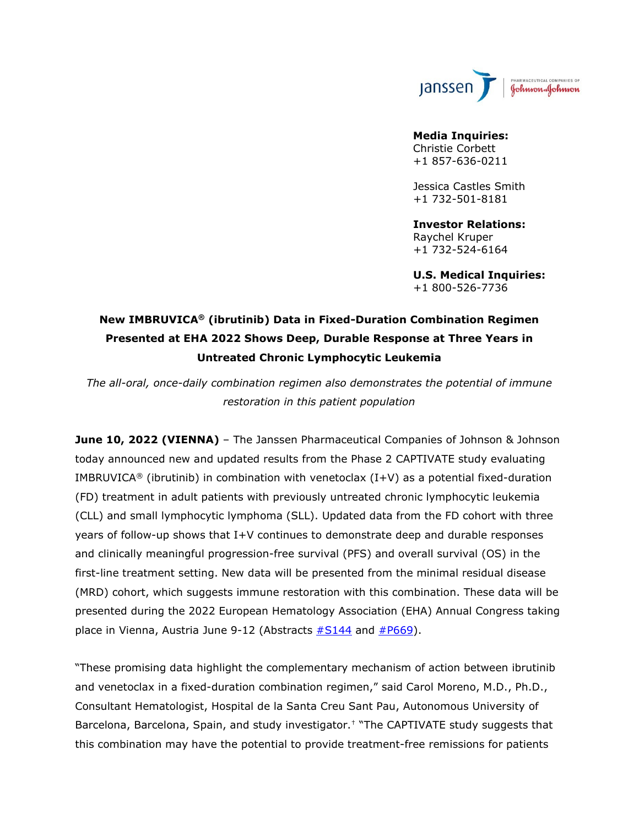

### **Media Inquiries:** Christie Corbett +1 857-636-0211

Jessica Castles Smith +1 732-501-8181

**Investor Relations:** Raychel Kruper +1 732-524-6164

**U.S. Medical Inquiries:** +1 800-526-7736

# **New IMBRUVICA® (ibrutinib) Data in Fixed-Duration Combination Regimen Presented at EHA 2022 Shows Deep, Durable Response at Three Years in Untreated Chronic Lymphocytic Leukemia**

*The all-oral, once-daily combination regimen also demonstrates the potential of immune restoration in this patient population* 

**June 10, 2022 (VIENNA)** – The Janssen Pharmaceutical Companies of Johnson & Johnson today announced new and updated results from the Phase 2 CAPTIVATE study evaluating IMBRUVICA<sup>®</sup> (ibrutinib) in combination with venetoclax  $(I+V)$  as a potential fixed-duration (FD) treatment in adult patients with previously untreated chronic lymphocytic leukemia (CLL) and small lymphocytic lymphoma (SLL). Updated data from the FD cohort with three years of follow-up shows that I+V continues to demonstrate deep and durable responses and clinically meaningful progression-free survival (PFS) and overall survival (OS) in the first-line treatment setting. New data will be presented from the minimal residual disease (MRD) cohort, which suggests immune restoration with this combination. These data will be presented during the 2022 European Hematology Association (EHA) Annual Congress taking place in Vienna, Austria June 9-12 (Abstracts  $#S144$  and  $#P669$ ).

"These promising data highlight the complementary mechanism of action between ibrutinib and venetoclax in a fixed-duration combination regimen," said Carol Moreno, M.D., Ph.D., Consultant Hematologist, Hospital de la Santa Creu Sant Pau, Autonomous University of Barcelona, Barcelona, Spain, and study investigator.† "The CAPTIVATE study suggests that this combination may have the potential to provide treatment-free remissions for patients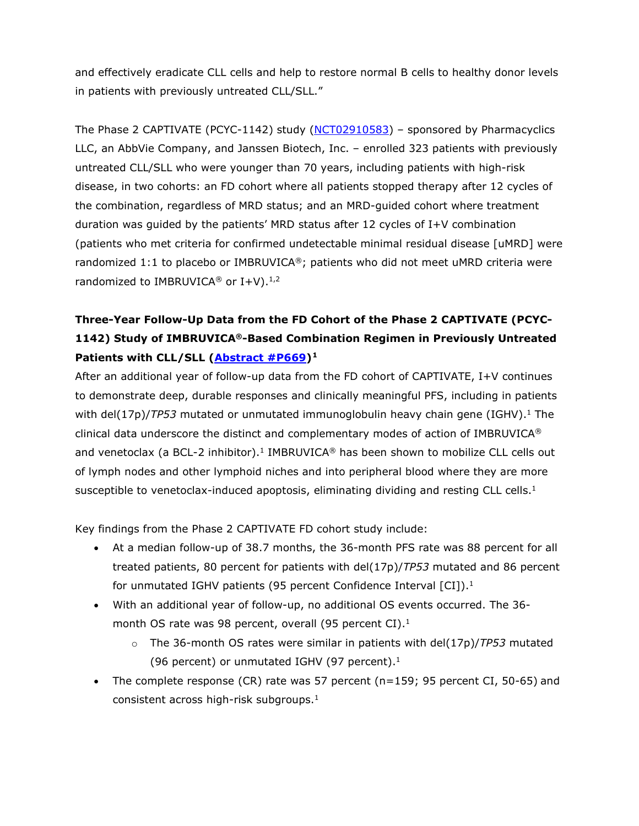and effectively eradicate CLL cells and help to restore normal B cells to healthy donor levels in patients with previously untreated CLL/SLL."

The Phase 2 CAPTIVATE (PCYC-1142) study [\(NCT02910583\)](https://clinicaltrials.gov/ct2/show/NCT02910583?term=Captivate&draw=2&rank=5) – sponsored by Pharmacyclics LLC, an AbbVie Company, and Janssen Biotech, Inc. – enrolled 323 patients with previously untreated CLL/SLL who were younger than 70 years, including patients with high-risk disease, in two cohorts: an FD cohort where all patients stopped therapy after 12 cycles of the combination, regardless of MRD status; and an MRD-guided cohort where treatment duration was guided by the patients' MRD status after 12 cycles of I+V combination (patients who met criteria for confirmed undetectable minimal residual disease [uMRD] were randomized 1:1 to placebo or IMBRUVICA®; patients who did not meet uMRD criteria were randomized to IMBRUVICA<sup>®</sup> or I+V).<sup>1,2</sup>

# **Three-Year Follow-Up Data from the FD Cohort of the Phase 2 CAPTIVATE (PCYC-1142) Study of IMBRUVICA®-Based Combination Regimen in Previously Untreated Patients with CLL/SLL [\(Abstract #P669\)](https://library.ehaweb.org/eha/2022/eha2022-congress/357531/carol.moreno.fixed-duration.28fd29.ibrutinib.2B.venetoclax.for.first-line.html?f=listing%3D0%2Abrowseby%3D8%2Asortby%3D1%2Asearch%3Dcaptivate)[1](#page-9-0)**

<span id="page-1-0"></span>After an additional year of follow-up data from the FD cohort of CAPTIVATE, I+V continues to demonstrate deep, durable responses and clinically meaningful PFS, including in patients with del(17p)/*TP53* mutated or unmutated immunoglobulin heavy chain gene (IGHV).<sup>1</sup> The clinical data underscore the distinct and complementary modes of action of IMBRUVICA® and venetoclax (a BCL-2 inhibitor).<sup>1</sup> IMBRUVICA<sup>®</sup> has been shown to mobilize CLL cells out of lymph nodes and other lymphoid niches and into peripheral blood where they are more susceptible to venetoclax-induced apoptosis, eliminating dividing and resting CLL cells. $<sup>1</sup>$ </sup>

Key findings from the Phase 2 CAPTIVATE FD cohort study include:

- At a median follow-up of 38.7 months, the 36-month PFS rate was 88 percent for all treated patients, 80 percent for patients with del(17p)/*TP53* mutated and 86 percent for unmutated IGHV patients (95 percent Confidence Interval [CI]).<sup>1</sup>
- With an additional year of follow-up, no additional OS events occurred. The 36 month OS rate was 98 percent, overall (95 percent CI).<sup>1</sup>
	- o The 36-month OS rates were similar in patients with del(17p)/*TP53* mutated (96 percent) or unmutated IGHV (97 percent). $1$
- The complete response (CR) rate was 57 percent ( $n=159$ ; 95 percent CI, 50-65) and consistent across high-risk subgroups[.1](#page-1-0)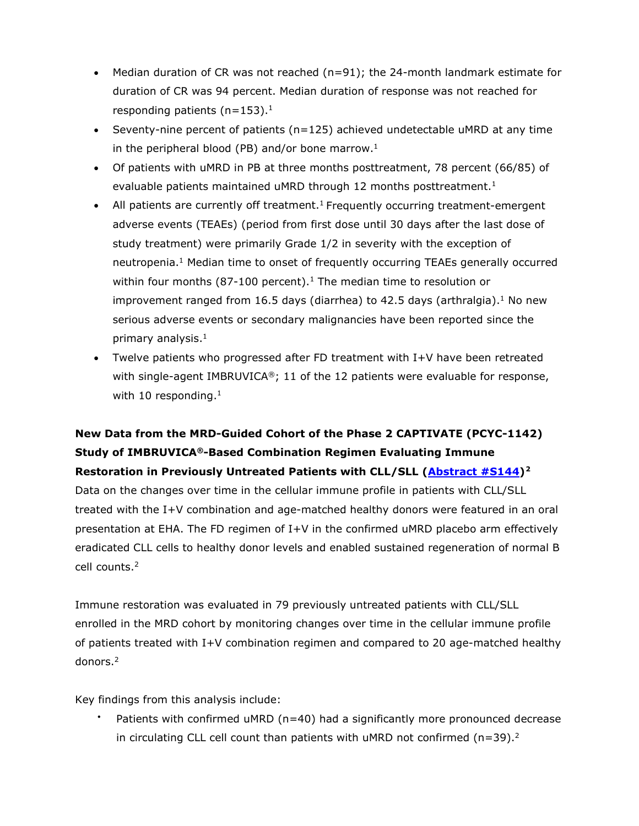- Median duration of CR was not reached  $(n=91)$ ; the 24-month landmark estimate for duration of CR was 94 percent. Median duration of response was not reached for responding patients ( $n=153$ ).<sup>1</sup>
- Seventy-nine percent of patients  $(n=125)$  achieved undetectable uMRD at any time in the peripheral blood (PB) and/or bone marrow. $1$
- Of patients with uMRD in PB at three months posttreatment, 78 percent (66/85) of evaluable patients maintained uMRD through 12 months posttreatment.<sup>1</sup>
- All patients are currently off treatment.<sup>1</sup> Frequently occurring treatment-emergent adverse events (TEAEs) (period from first dose until 30 days after the last dose of study treatment) were primarily Grade 1/2 in severity with the exception of neutropenia.<sup>1</sup> Median time to onset of frequently occurring TEAEs generally occurred within four months (87-100 percent).<sup>1</sup> The median time to resolution or improvement ranged from 16.5 days (diarrhea) to 42.5 days (arthralgia).<sup>1</sup> No new serious adverse events or secondary malignancies have been reported since the primary analysis. $<sup>1</sup>$ </sup>
- <span id="page-2-0"></span>• Twelve patients who progressed after FD treatment with I+V have been retreated with single-agent IMBRUVICA®; 11 of the 12 patients were evaluable for response, with 10 responding. $1$

# **New Data from the MRD-Guided Cohort of the Phase 2 CAPTIVATE (PCYC-1142) Study of IMBRUVICA®-Based Combination Regimen Evaluating Immune Restoration in Previously Untreated Patients with CLL/SLL [\(Abstract #S144\)](https://library.ehaweb.org/eha/2022/eha2022-congress/357008/isabelle.solman.immune.restoration.and.synergistic.activity.with.first-line.html?f=listing%3D0%2Abrowseby%3D8%2Asortby%3D1%2Asearch%3Dcaptivate)[2](#page-9-1)**

Data on the changes over time in the cellular immune profile in patients with CLL/SLL treated with the I+V combination and age-matched healthy donors were featured in an oral presentation at EHA. The FD regimen of I+V in the confirmed uMRD placebo arm effectively eradicated CLL cells to healthy donor levels and enabled sustained regeneration of normal B cell counts[.2](#page-2-0)

Immune restoration was evaluated in 79 previously untreated patients with CLL/SLL enrolled in the MRD cohort by monitoring changes over time in the cellular immune profile of patients treated with I+V combination regimen and compared to 20 age-matched healthy donors[.2](#page-2-0) 

Key findings from this analysis include:

Patients with confirmed uMRD ( $n=40$ ) had a significantly more pronounced decrease in circulating CLL cell count than patients with uMRD not confirmed ( $n=39$ ).<sup>2</sup>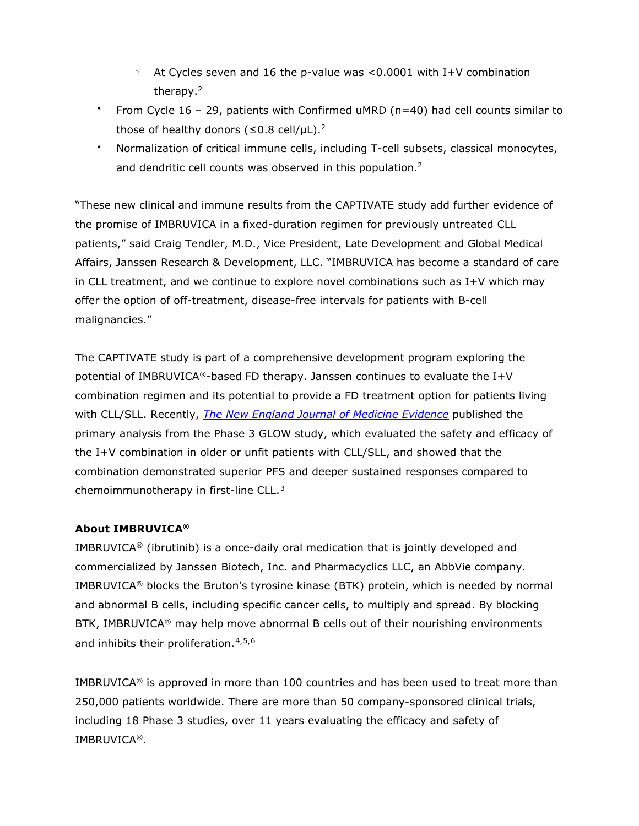- At Cycles seven and 16 the p-value was  $< 0.0001$  with I+V combination therapy.2
- From Cycle 16 29, patients with Confirmed uMRD (n=40) had cell counts similar to those of healthy donors ( $\leq 0.8$  cell/ $\mu$ L).<sup>2</sup>
- Normalization of critical immune cells, including T-cell subsets, classical monocytes, and dendritic cell counts was observed in this population.<sup>2</sup>

"These new clinical and immune results from the CAPTIVATE study add further evidence of the promise of IMBRUVICA in a fixed-duration regimen for previously untreated CLL patients," said Craig Tendler, M.D., Vice President, Late Development and Global Medical Affairs, Janssen Research & Development, LLC. "IMBRUVICA has become a standard of care in CLL treatment, and we continue to explore novel combinations such as I+V which may offer the option of off-treatment, disease-free intervals for patients with B-cell malignancies."

The CAPTIVATE study is part of a comprehensive development program exploring the potential of IMBRUVICA®-based FD therapy. Janssen continues to evaluate the I+V combination regimen and its potential to provide a FD treatment option for patients living with CLL/SLL. Recently, *The [New England Journal of Medicine Evidence](https://evidence.nejm.org/doi/full/10.1056/EVIDoa2200006)* published the primary analysis from the Phase 3 GLOW study, which evaluated the safety and efficacy of the I+V combination in older or unfit patients with CLL/SLL, and showed that the combination demonstrated superior PFS and deeper sustained responses compared to chemoimmunotherapy in first-line CLL.[3](#page-9-2)

# **About IMBRUVICA®**

IMBRUVICA<sup>®</sup> (ibrutinib) is a once-daily oral medication that is jointly developed and commercialized by Janssen Biotech, Inc. and Pharmacyclics LLC, an AbbVie company. IMBRUVICA® blocks the Bruton's tyrosine kinase (BTK) protein, which is needed by normal and abnormal B cells, including specific cancer cells, to multiply and spread. By blocking BTK, IMBRUVICA<sup>®</sup> may help move abnormal B cells out of their nourishing environments and inhibits their proliferation.<sup>[4](#page-10-0),[5](#page-10-1),[6](#page-10-2)</sup>

IMBRUVICA<sup>®</sup> is approved in more than 100 countries and has been used to treat more than 250,000 patients worldwide. There are more than 50 company-sponsored clinical trials, including 18 Phase 3 studies, over 11 years evaluating the efficacy and safety of IMBRUVICA®.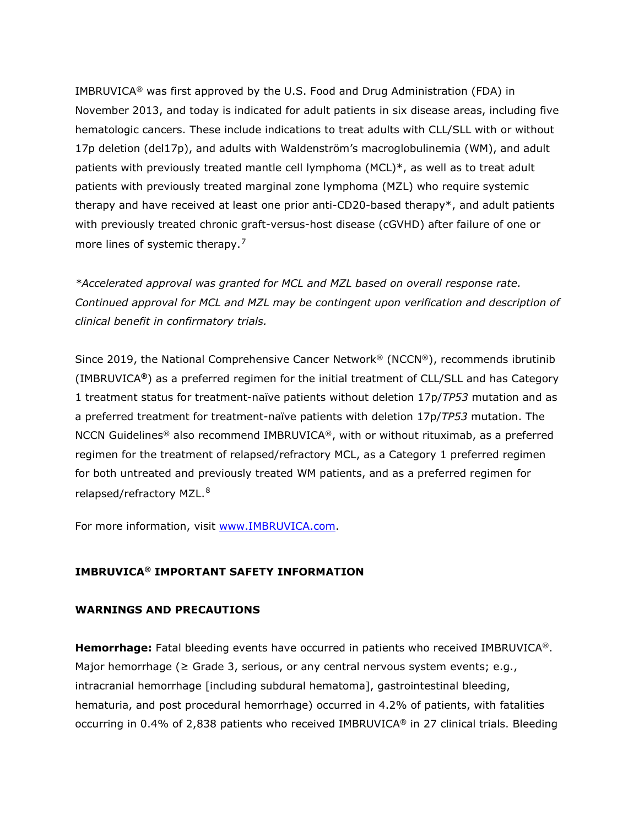IMBRUVICA<sup>®</sup> was first approved by the U.S. Food and Drug Administration (FDA) in November 2013, and today is indicated for adult patients in six disease areas, including five hematologic cancers. These include indications to treat adults with CLL/SLL with or without 17p deletion (del17p), and adults with Waldenström's macroglobulinemia (WM), and adult patients with previously treated mantle cell lymphoma (MCL)\*, as well as to treat adult patients with previously treated marginal zone lymphoma (MZL) who require systemic therapy and have received at least one prior anti-CD20-based therapy\*, and adult patients with previously treated chronic graft-versus-host disease (cGVHD) after failure of one or more lines of systemic therapy.<sup>[7](#page-10-3)</sup>

*\*Accelerated approval was granted for MCL and MZL based on overall response rate. Continued approval for MCL and MZL may be contingent upon verification and description of clinical benefit in confirmatory trials.*

Since 2019, the National Comprehensive Cancer Network® (NCCN®), recommends ibrutinib (IMBRUVICA**®**) as a preferred regimen for the initial treatment of CLL/SLL and has Category 1 treatment status for treatment-naïve patients without deletion 17p/*TP53* mutation and as a preferred treatment for treatment-naïve patients with deletion 17p/*TP53* mutation. The NCCN Guidelines® also recommend IMBRUVICA®, with or without rituximab, as a preferred regimen for the treatment of relapsed/refractory MCL, as a Category 1 preferred regimen for both untreated and previously treated WM patients, and as a preferred regimen for relapsed/refractory MZL.<sup>[8](#page-10-4)</sup>

For more information, visit [www.IMBRUVICA.com.](http://www.imbruvica.com/)

## **IMBRUVICA® IMPORTANT SAFETY INFORMATION**

## **WARNINGS AND PRECAUTIONS**

**Hemorrhage:** Fatal bleeding events have occurred in patients who received IMBRUVICA®. Major hemorrhage ( $\geq$  Grade 3, serious, or any central nervous system events; e.g., intracranial hemorrhage [including subdural hematoma], gastrointestinal bleeding, hematuria, and post procedural hemorrhage) occurred in 4.2% of patients, with fatalities occurring in 0.4% of 2,838 patients who received IMBRUVICA® in 27 clinical trials. Bleeding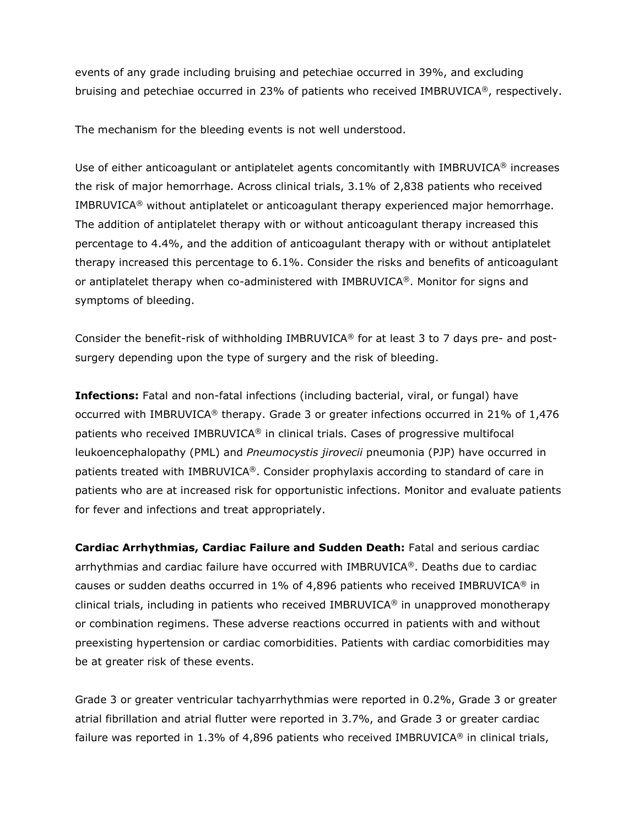events of any grade including bruising and petechiae occurred in 39%, and excluding bruising and petechiae occurred in 23% of patients who received IMBRUVICA®, respectively.

The mechanism for the bleeding events is not well understood.

Use of either anticoagulant or antiplatelet agents concomitantly with IMBRUVICA® increases the risk of major hemorrhage. Across clinical trials, 3.1% of 2,838 patients who received IMBRUVICA® without antiplatelet or anticoagulant therapy experienced major hemorrhage. The addition of antiplatelet therapy with or without anticoagulant therapy increased this percentage to 4.4%, and the addition of anticoagulant therapy with or without antiplatelet therapy increased this percentage to 6.1%. Consider the risks and benefits of anticoagulant or antiplatelet therapy when co-administered with IMBRUVICA®. Monitor for signs and symptoms of bleeding.

Consider the benefit-risk of withholding IMBRUVICA® for at least 3 to 7 days pre- and postsurgery depending upon the type of surgery and the risk of bleeding.

**Infections:** Fatal and non-fatal infections (including bacterial, viral, or fungal) have occurred with IMBRUVICA® therapy. Grade 3 or greater infections occurred in 21% of 1,476 patients who received IMBRUVICA® in clinical trials. Cases of progressive multifocal leukoencephalopathy (PML) and *Pneumocystis jirovecii* pneumonia (PJP) have occurred in patients treated with IMBRUVICA®. Consider prophylaxis according to standard of care in patients who are at increased risk for opportunistic infections. Monitor and evaluate patients for fever and infections and treat appropriately.

**Cardiac Arrhythmias, Cardiac Failure and Sudden Death:** Fatal and serious cardiac arrhythmias and cardiac failure have occurred with IMBRUVICA®. Deaths due to cardiac causes or sudden deaths occurred in  $1\%$  of 4,896 patients who received IMBRUVICA® in clinical trials, including in patients who received IMBRUVICA<sup>®</sup> in unapproved monotherapy or combination regimens. These adverse reactions occurred in patients with and without preexisting hypertension or cardiac comorbidities. Patients with cardiac comorbidities may be at greater risk of these events.

Grade 3 or greater ventricular tachyarrhythmias were reported in 0.2%, Grade 3 or greater atrial fibrillation and atrial flutter were reported in 3.7%, and Grade 3 or greater cardiac failure was reported in 1.3% of 4,896 patients who received IMBRUVICA<sup>®</sup> in clinical trials,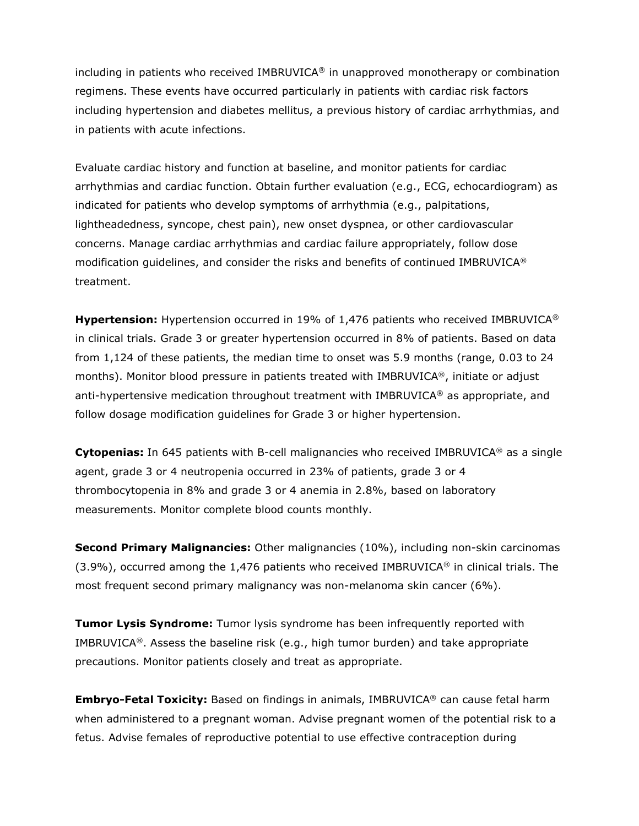including in patients who received IMBRUVICA® in unapproved monotherapy or combination regimens. These events have occurred particularly in patients with cardiac risk factors including hypertension and diabetes mellitus, a previous history of cardiac arrhythmias, and in patients with acute infections.

Evaluate cardiac history and function at baseline, and monitor patients for cardiac arrhythmias and cardiac function. Obtain further evaluation (e.g., ECG, echocardiogram) as indicated for patients who develop symptoms of arrhythmia (e.g., palpitations, lightheadedness, syncope, chest pain), new onset dyspnea, or other cardiovascular concerns. Manage cardiac arrhythmias and cardiac failure appropriately, follow dose modification guidelines, and consider the risks and benefits of continued IMBRUVICA® treatment.

**Hypertension:** Hypertension occurred in 19% of 1,476 patients who received IMBRUVICA<sup>®</sup> in clinical trials. Grade 3 or greater hypertension occurred in 8% of patients. Based on data from 1,124 of these patients, the median time to onset was 5.9 months (range, 0.03 to 24 months). Monitor blood pressure in patients treated with IMBRUVICA®, initiate or adjust anti-hypertensive medication throughout treatment with IMBRUVICA® as appropriate, and follow dosage modification guidelines for Grade 3 or higher hypertension.

**Cytopenias:** In 645 patients with B-cell malignancies who received IMBRUVICA® as a single agent, grade 3 or 4 neutropenia occurred in 23% of patients, grade 3 or 4 thrombocytopenia in 8% and grade 3 or 4 anemia in 2.8%, based on laboratory measurements. Monitor complete blood counts monthly.

**Second Primary Malignancies:** Other malignancies (10%), including non-skin carcinomas  $(3.9\%)$ , occurred among the 1,476 patients who received IMBRUVICA<sup>®</sup> in clinical trials. The most frequent second primary malignancy was non-melanoma skin cancer (6%).

**Tumor Lysis Syndrome:** Tumor lysis syndrome has been infrequently reported with IMBRUVICA®. Assess the baseline risk (e.g., high tumor burden) and take appropriate precautions. Monitor patients closely and treat as appropriate.

**Embryo-Fetal Toxicity:** Based on findings in animals, IMBRUVICA® can cause fetal harm when administered to a pregnant woman. Advise pregnant women of the potential risk to a fetus. Advise females of reproductive potential to use effective contraception during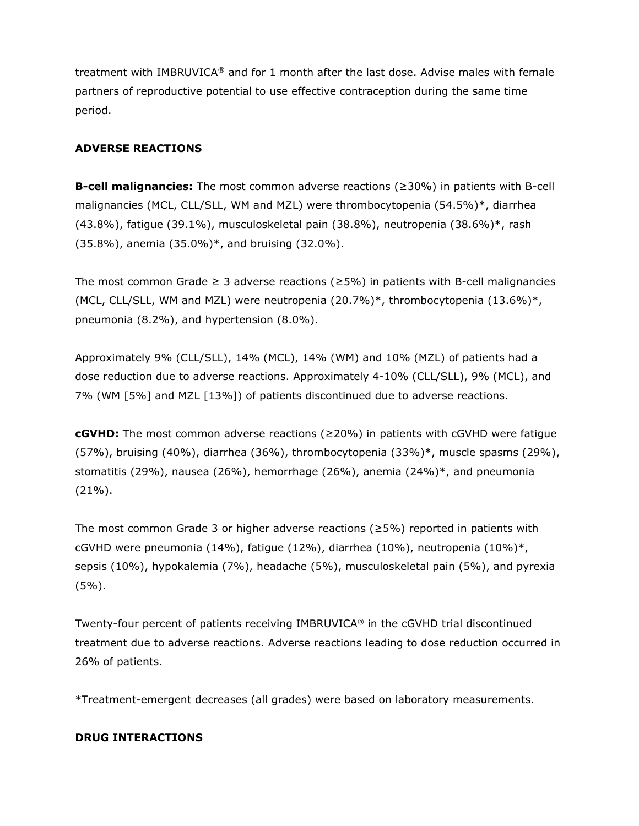treatment with IMBRUVICA® and for 1 month after the last dose. Advise males with female partners of reproductive potential to use effective contraception during the same time period.

# **ADVERSE REACTIONS**

**B-cell malignancies:** The most common adverse reactions (≥30%) in patients with B-cell malignancies (MCL, CLL/SLL, WM and MZL) were thrombocytopenia (54.5%)\*, diarrhea (43.8%), fatigue (39.1%), musculoskeletal pain (38.8%), neutropenia (38.6%)\*, rash (35.8%), anemia (35.0%)\*, and bruising (32.0%).

The most common Grade  $\geq 3$  adverse reactions ( $\geq 5\%$ ) in patients with B-cell malignancies (MCL, CLL/SLL, WM and MZL) were neutropenia (20.7%)\*, thrombocytopenia (13.6%)\*, pneumonia (8.2%), and hypertension (8.0%).

Approximately 9% (CLL/SLL), 14% (MCL), 14% (WM) and 10% (MZL) of patients had a dose reduction due to adverse reactions. Approximately 4-10% (CLL/SLL), 9% (MCL), and 7% (WM [5%] and MZL [13%]) of patients discontinued due to adverse reactions.

**cGVHD:** The most common adverse reactions (≥20%) in patients with cGVHD were fatigue (57%), bruising (40%), diarrhea (36%), thrombocytopenia (33%)\*, muscle spasms (29%), stomatitis (29%), nausea (26%), hemorrhage (26%), anemia (24%)\*, and pneumonia  $(21\%)$ .

The most common Grade 3 or higher adverse reactions ( $\geq$ 5%) reported in patients with cGVHD were pneumonia (14%), fatigue (12%), diarrhea (10%), neutropenia (10%)\*, sepsis (10%), hypokalemia (7%), headache (5%), musculoskeletal pain (5%), and pyrexia  $(5\%)$ .

Twenty-four percent of patients receiving IMBRUVICA® in the cGVHD trial discontinued treatment due to adverse reactions. Adverse reactions leading to dose reduction occurred in 26% of patients.

\*Treatment-emergent decreases (all grades) were based on laboratory measurements.

# **DRUG INTERACTIONS**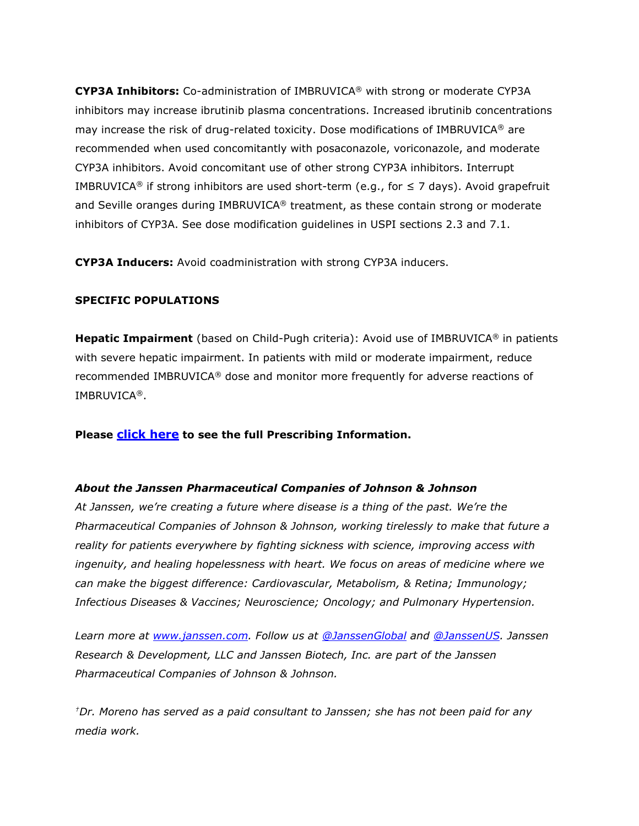**CYP3A Inhibitors:** Co-administration of IMBRUVICA® with strong or moderate CYP3A inhibitors may increase ibrutinib plasma concentrations. Increased ibrutinib concentrations may increase the risk of drug-related toxicity. Dose modifications of IMBRUVICA® are recommended when used concomitantly with posaconazole, voriconazole, and moderate CYP3A inhibitors. Avoid concomitant use of other strong CYP3A inhibitors. Interrupt IMBRUVICA<sup>®</sup> if strong inhibitors are used short-term (e.g., for  $\leq 7$  days). Avoid grapefruit and Seville oranges during IMBRUVICA® treatment, as these contain strong or moderate inhibitors of CYP3A. See dose modification guidelines in USPI sections 2.3 and 7.1.

**CYP3A Inducers:** Avoid coadministration with strong CYP3A inducers.

## **SPECIFIC POPULATIONS**

**Hepatic Impairment** (based on Child-Pugh criteria): Avoid use of IMBRUVICA® in patients with severe hepatic impairment. In patients with mild or moderate impairment, reduce recommended IMBRUVICA® dose and monitor more frequently for adverse reactions of IMBRUVICA®.

**Please [click here](https://www.imbruvica.com/files/prescribing-information.pdf) to see the full Prescribing Information.**

# *About the Janssen Pharmaceutical Companies of Johnson & Johnson*

*At Janssen, we're creating a future where disease is a thing of the past. We're the Pharmaceutical Companies of Johnson & Johnson, working tirelessly to make that future a reality for patients everywhere by fighting sickness with science, improving access with ingenuity, and healing hopelessness with heart. We focus on areas of medicine where we can make the biggest difference: Cardiovascular, Metabolism, & Retina; Immunology; Infectious Diseases & Vaccines; Neuroscience; Oncology; and Pulmonary Hypertension.*

*Learn more at [www.janssen.com.](https://www.janssen.com/) Follow us at [@JanssenGlobal](https://twitter.com/JanssenGlobal) and [@JanssenUS.](https://twitter.com/JanssenUS?ref_src=twsrc%5Egoogle%7Ctwcamp%5Eserp%7Ctwgr%5Eauthor) Janssen Research & Development, LLC and Janssen Biotech, Inc. are part of the Janssen Pharmaceutical Companies of Johnson & Johnson.*

*†Dr. Moreno has served as a paid consultant to Janssen; she has not been paid for any media work.*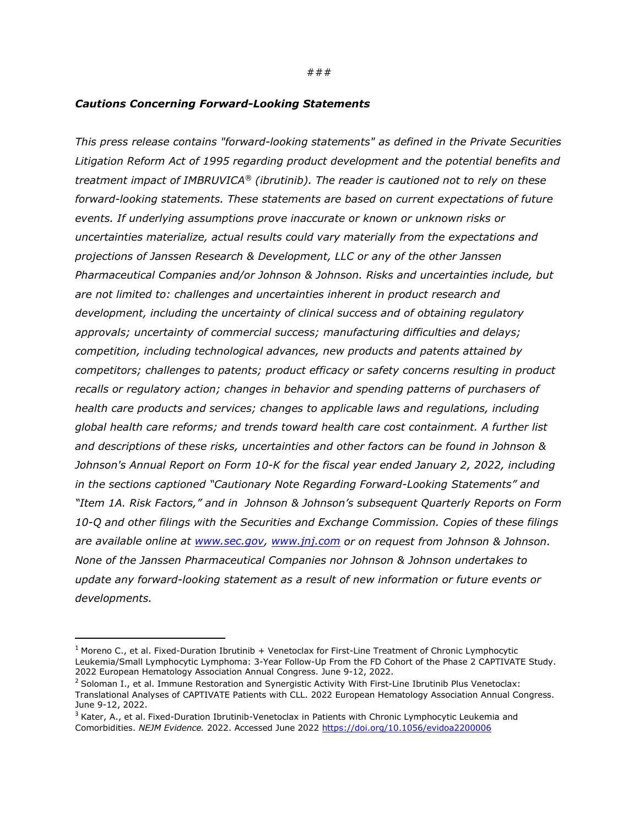### ###

### *Cautions Concerning Forward-Looking Statements*

*This press release contains "forward-looking statements" as defined in the Private Securities Litigation Reform Act of 1995 regarding product development and the potential benefits and treatment impact of IMBRUVICA® (ibrutinib). The reader is cautioned not to rely on these forward-looking statements. These statements are based on current expectations of future events. If underlying assumptions prove inaccurate or known or unknown risks or uncertainties materialize, actual results could vary materially from the expectations and projections of Janssen Research & Development, LLC or any of the other Janssen Pharmaceutical Companies and/or Johnson & Johnson. Risks and uncertainties include, but are not limited to: challenges and uncertainties inherent in product research and development, including the uncertainty of clinical success and of obtaining regulatory approvals; uncertainty of commercial success; manufacturing difficulties and delays; competition, including technological advances, new products and patents attained by competitors; challenges to patents; product efficacy or safety concerns resulting in product recalls or regulatory action; changes in behavior and spending patterns of purchasers of health care products and services; changes to applicable laws and regulations, including global health care reforms; and trends toward health care cost containment. A further list and descriptions of these risks, uncertainties and other factors can be found in Johnson & Johnson's Annual Report on Form 10-K for the fiscal year ended January 2, 2022, including in the sections captioned "Cautionary Note Regarding Forward-Looking Statements" and "Item 1A. Risk Factors," and in Johnson & Johnson's subsequent Quarterly Reports on Form 10-Q and other filings with the Securities and Exchange Commission. Copies of these filings are available online at [www.sec.gov,](http://www.sec.gov/) [www.jnj.com](http://www.jnj.com/) or on request from Johnson & Johnson. None of the Janssen Pharmaceutical Companies nor Johnson & Johnson undertakes to update any forward-looking statement as a result of new information or future events or developments.* 

<span id="page-9-0"></span><sup>&</sup>lt;sup>1</sup> Moreno C., et al. Fixed-Duration Ibrutinib + Venetoclax for First-Line Treatment of Chronic Lymphocytic Leukemia/Small Lymphocytic Lymphoma: 3-Year Follow-Up From the FD Cohort of the Phase 2 CAPTIVATE Study. 2022 European Hematology Association Annual Congress. June 9-12, 2022.

<span id="page-9-1"></span> $2$  Soloman I., et al. Immune Restoration and Synergistic Activity With First-Line Ibrutinib Plus Venetoclax: Translational Analyses of CAPTIVATE Patients with CLL. 2022 European Hematology Association Annual Congress. June 9-12, 2022.

<span id="page-9-2"></span><sup>&</sup>lt;sup>3</sup> Kater, A., et al. Fixed-Duration Ibrutinib-Venetoclax in Patients with Chronic Lymphocytic Leukemia and Comorbidities. *NEJM Evidence.* 2022. Accessed June 2022 <https://doi.org/10.1056/evidoa2200006>